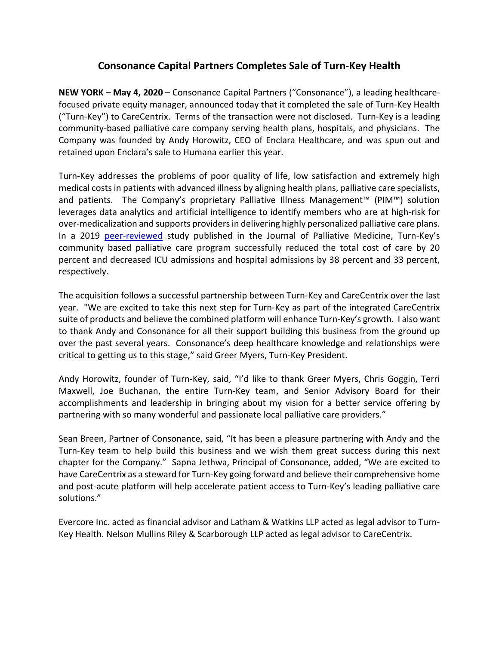## **Consonance Capital Partners Completes Sale of Turn-Key Health**

**NEW YORK – May 4, 2020** – Consonance Capital Partners ("Consonance"), a leading healthcarefocused private equity manager, announced today that it completed the sale of Turn-Key Health ("Turn-Key") to CareCentrix. Terms of the transaction were not disclosed. Turn-Key is a leading community-based palliative care company serving health plans, hospitals, and physicians. The Company was founded by Andy Horowitz, CEO of Enclara Healthcare, and was spun out and retained upon Enclara's sale to Humana earlier this year.

Turn-Key addresses the problems of poor quality of life, low satisfaction and extremely high medical costs in patients with advanced illness by aligning health plans, palliative care specialists, and patients. The Company's proprietary Palliative Illness Management™ (PIM™) solution leverages data analytics and artificial intelligence to identify members who are at high-risk for over-medicalization and supports providers in delivering highly personalized palliative care plans. In a 2019 [peer-reviewed](https://turn-keyhealth.com/wp-content/uploads/2019/04/Effects_of_a_Population_Health_Community_Based_Palliative_Care_Program_on_Cost_and_Utilization.pdf) study published in the Journal of Palliative Medicine, Turn-Key's community based palliative care program successfully reduced the total cost of care by 20 percent and decreased ICU admissions and hospital admissions by 38 percent and 33 percent, respectively.

The acquisition follows a successful partnership between Turn-Key and CareCentrix over the last year. "We are excited to take this next step for Turn-Key as part of the integrated CareCentrix suite of products and believe the combined platform will enhance Turn-Key's growth. I also want to thank Andy and Consonance for all their support building this business from the ground up over the past several years. Consonance's deep healthcare knowledge and relationships were critical to getting us to this stage," said Greer Myers, Turn-Key President.

Andy Horowitz, founder of Turn-Key, said, "I'd like to thank Greer Myers, Chris Goggin, Terri Maxwell, Joe Buchanan, the entire Turn-Key team, and Senior Advisory Board for their accomplishments and leadership in bringing about my vision for a better service offering by partnering with so many wonderful and passionate local palliative care providers."

Sean Breen, Partner of Consonance, said, "It has been a pleasure partnering with Andy and the Turn-Key team to help build this business and we wish them great success during this next chapter for the Company." Sapna Jethwa, Principal of Consonance, added, "We are excited to have CareCentrix as a steward for Turn-Key going forward and believe their comprehensive home and post-acute platform will help accelerate patient access to Turn-Key's leading palliative care solutions."

Evercore Inc. acted as financial advisor and Latham & Watkins LLP acted as legal advisor to Turn-Key Health. Nelson Mullins Riley & Scarborough LLP acted as legal advisor to CareCentrix.